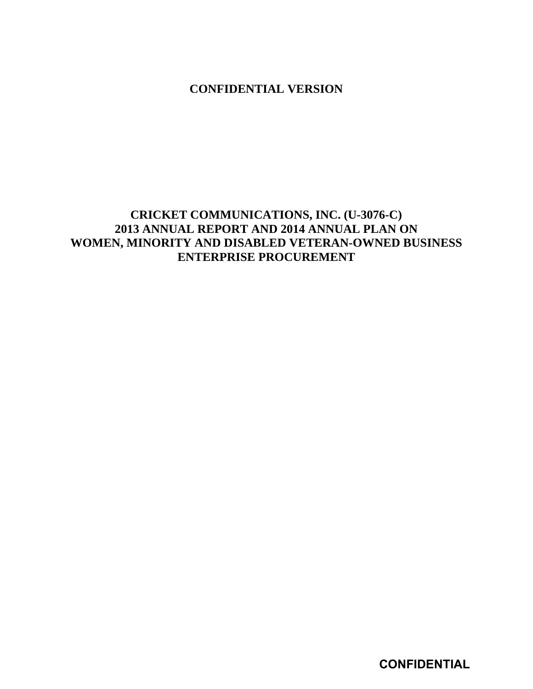**CONFIDENTIAL VERSION** 

## **CRICKET COMMUNICATIONS, INC. (U-3076-C) 2013 ANNUAL REPORT AND 2014 ANNUAL PLAN ON WOMEN, MINORITY AND DISABLED VETERAN-OWNED BUSINESS ENTERPRISE PROCUREMENT**

**CONFIDENTIAL**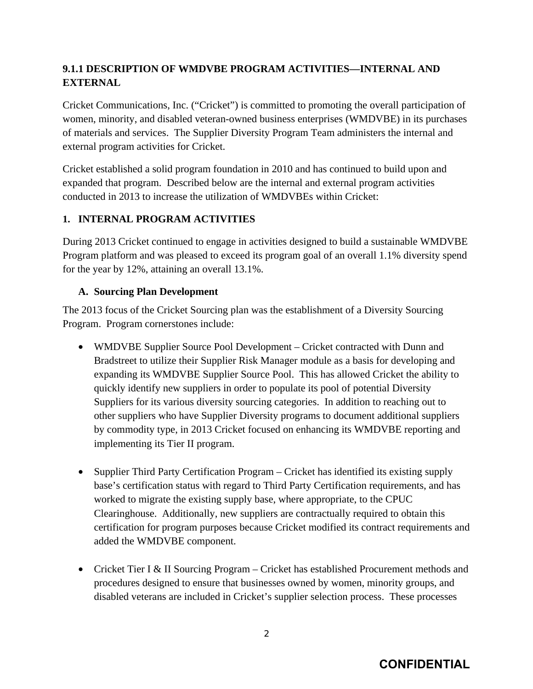## **9.1.1 DESCRIPTION OF WMDVBE PROGRAM ACTIVITIES—INTERNAL AND EXTERNAL**

Cricket Communications, Inc. ("Cricket") is committed to promoting the overall participation of women, minority, and disabled veteran-owned business enterprises (WMDVBE) in its purchases of materials and services. The Supplier Diversity Program Team administers the internal and external program activities for Cricket.

Cricket established a solid program foundation in 2010 and has continued to build upon and expanded that program. Described below are the internal and external program activities conducted in 2013 to increase the utilization of WMDVBEs within Cricket:

#### **1. INTERNAL PROGRAM ACTIVITIES**

During 2013 Cricket continued to engage in activities designed to build a sustainable WMDVBE Program platform and was pleased to exceed its program goal of an overall 1.1% diversity spend for the year by 12%, attaining an overall 13.1%.

#### **A. Sourcing Plan Development**

The 2013 focus of the Cricket Sourcing plan was the establishment of a Diversity Sourcing Program. Program cornerstones include:

- WMDVBE Supplier Source Pool Development Cricket contracted with Dunn and Bradstreet to utilize their Supplier Risk Manager module as a basis for developing and expanding its WMDVBE Supplier Source Pool. This has allowed Cricket the ability to quickly identify new suppliers in order to populate its pool of potential Diversity Suppliers for its various diversity sourcing categories. In addition to reaching out to other suppliers who have Supplier Diversity programs to document additional suppliers by commodity type, in 2013 Cricket focused on enhancing its WMDVBE reporting and implementing its Tier II program.
- Supplier Third Party Certification Program Cricket has identified its existing supply base's certification status with regard to Third Party Certification requirements, and has worked to migrate the existing supply base, where appropriate, to the CPUC Clearinghouse. Additionally, new suppliers are contractually required to obtain this certification for program purposes because Cricket modified its contract requirements and added the WMDVBE component.
- Cricket Tier I & II Sourcing Program Cricket has established Procurement methods and procedures designed to ensure that businesses owned by women, minority groups, and disabled veterans are included in Cricket's supplier selection process. These processes

# **CONFIDENTIAL**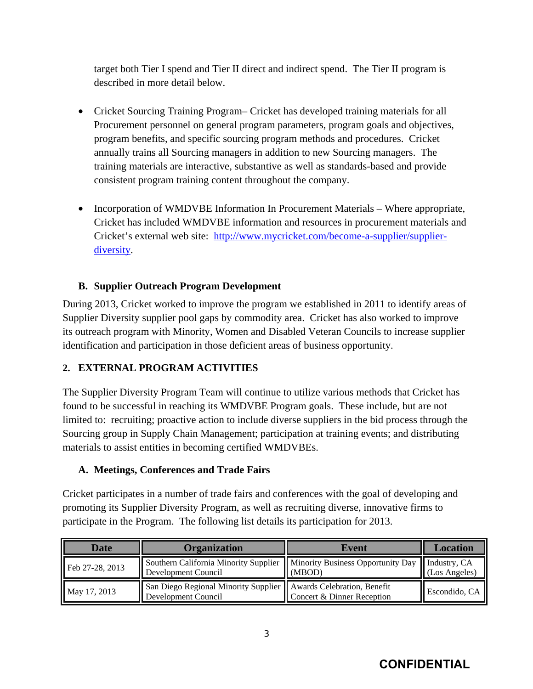target both Tier I spend and Tier II direct and indirect spend. The Tier II program is described in more detail below.

- Cricket Sourcing Training Program– Cricket has developed training materials for all Procurement personnel on general program parameters, program goals and objectives, program benefits, and specific sourcing program methods and procedures. Cricket annually trains all Sourcing managers in addition to new Sourcing managers. The training materials are interactive, substantive as well as standards-based and provide consistent program training content throughout the company.
- Incorporation of WMDVBE Information In Procurement Materials Where appropriate, Cricket has included WMDVBE information and resources in procurement materials and Cricket's external web site: http://www.mycricket.com/become-a-supplier/supplierdiversity.

### **B. Supplier Outreach Program Development**

During 2013, Cricket worked to improve the program we established in 2011 to identify areas of Supplier Diversity supplier pool gaps by commodity area. Cricket has also worked to improve its outreach program with Minority, Women and Disabled Veteran Councils to increase supplier identification and participation in those deficient areas of business opportunity.

## **2. EXTERNAL PROGRAM ACTIVITIES**

The Supplier Diversity Program Team will continue to utilize various methods that Cricket has found to be successful in reaching its WMDVBE Program goals. These include, but are not limited to: recruiting; proactive action to include diverse suppliers in the bid process through the Sourcing group in Supply Chain Management; participation at training events; and distributing materials to assist entities in becoming certified WMDVBEs.

### **A. Meetings, Conferences and Trade Fairs**

Cricket participates in a number of trade fairs and conferences with the goal of developing and promoting its Supplier Diversity Program, as well as recruiting diverse, innovative firms to participate in the Program. The following list details its participation for 2013.

| <b>Date</b>     | <b>Organization</b>                                                                                               | Event                      | Location      |
|-----------------|-------------------------------------------------------------------------------------------------------------------|----------------------------|---------------|
| Feb 27-28, 2013 | Southern California Minority Supplier    Minority Business Opportunity Day    Industry, CA<br>Development Council | (MBOD)                     | (Los Angeles) |
| May 17, 2013    | San Diego Regional Minority Supplier    Awards Celebration, Benefit<br>Development Council                        | Concert & Dinner Reception | Escondido, CA |

3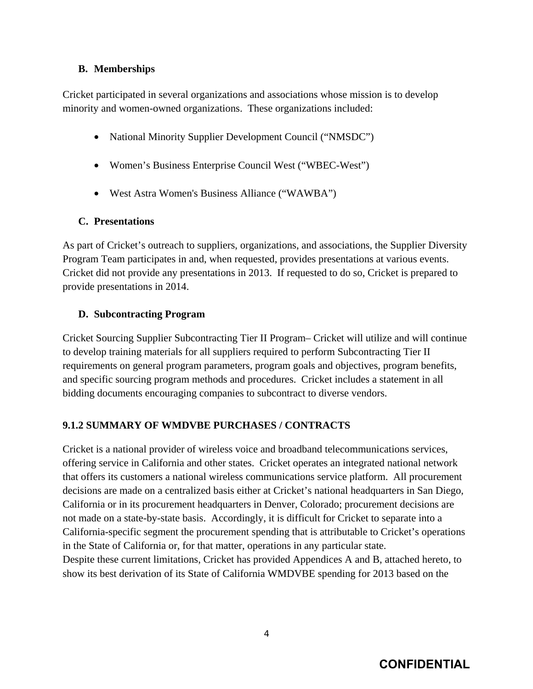#### **B. Memberships**

Cricket participated in several organizations and associations whose mission is to develop minority and women-owned organizations. These organizations included:

- National Minority Supplier Development Council ("NMSDC")
- Women's Business Enterprise Council West ("WBEC-West")
- West Astra Women's Business Alliance ("WAWBA")

#### **C. Presentations**

As part of Cricket's outreach to suppliers, organizations, and associations, the Supplier Diversity Program Team participates in and, when requested, provides presentations at various events. Cricket did not provide any presentations in 2013. If requested to do so, Cricket is prepared to provide presentations in 2014.

#### **D. Subcontracting Program**

Cricket Sourcing Supplier Subcontracting Tier II Program– Cricket will utilize and will continue to develop training materials for all suppliers required to perform Subcontracting Tier II requirements on general program parameters, program goals and objectives, program benefits, and specific sourcing program methods and procedures. Cricket includes a statement in all bidding documents encouraging companies to subcontract to diverse vendors.

#### **9.1.2 SUMMARY OF WMDVBE PURCHASES / CONTRACTS**

Cricket is a national provider of wireless voice and broadband telecommunications services, offering service in California and other states. Cricket operates an integrated national network that offers its customers a national wireless communications service platform. All procurement decisions are made on a centralized basis either at Cricket's national headquarters in San Diego, California or in its procurement headquarters in Denver, Colorado; procurement decisions are not made on a state-by-state basis. Accordingly, it is difficult for Cricket to separate into a California-specific segment the procurement spending that is attributable to Cricket's operations in the State of California or, for that matter, operations in any particular state. Despite these current limitations, Cricket has provided Appendices A and B, attached hereto, to show its best derivation of its State of California WMDVBE spending for 2013 based on the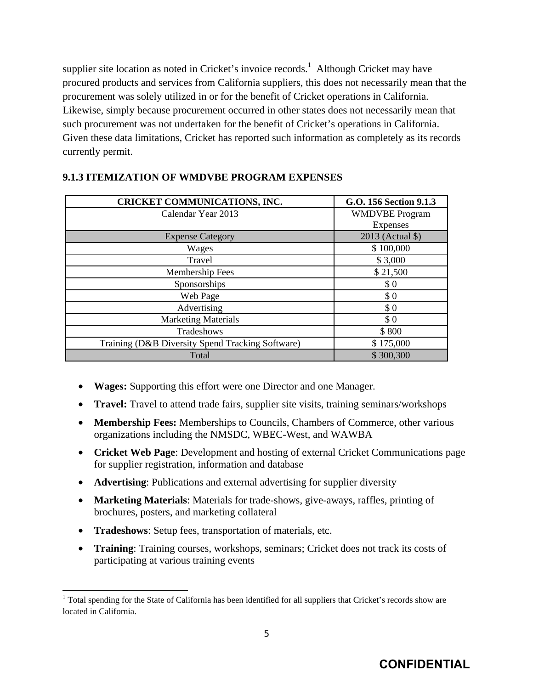supplier site location as noted in Cricket's invoice records.<sup>1</sup> Although Cricket may have procured products and services from California suppliers, this does not necessarily mean that the procurement was solely utilized in or for the benefit of Cricket operations in California. Likewise, simply because procurement occurred in other states does not necessarily mean that such procurement was not undertaken for the benefit of Cricket's operations in California. Given these data limitations, Cricket has reported such information as completely as its records currently permit.

| <b>CRICKET COMMUNICATIONS, INC.</b>              | G.O. 156 Section 9.1.3 |
|--------------------------------------------------|------------------------|
| Calendar Year 2013                               | <b>WMDVBE</b> Program  |
|                                                  | <b>Expenses</b>        |
| <b>Expense Category</b>                          | 2013 (Actual \$)       |
| Wages                                            | \$100,000              |
| Travel                                           | \$3,000                |
| Membership Fees                                  | \$21,500               |
| Sponsorships                                     | \$0                    |
| Web Page                                         | \$0                    |
| Advertising                                      | \$0                    |
| <b>Marketing Materials</b>                       | \$0                    |
| Tradeshows                                       | \$800                  |
| Training (D&B Diversity Spend Tracking Software) | \$175,000              |
| Total                                            | \$300,300              |

#### **9.1.3 ITEMIZATION OF WMDVBE PROGRAM EXPENSES**

- **Wages:** Supporting this effort were one Director and one Manager.
- **Travel:** Travel to attend trade fairs, supplier site visits, training seminars/workshops
- **Membership Fees:** Memberships to Councils, Chambers of Commerce, other various organizations including the NMSDC, WBEC-West, and WAWBA
- **Cricket Web Page**: Development and hosting of external Cricket Communications page for supplier registration, information and database
- **Advertising**: Publications and external advertising for supplier diversity
- **Marketing Materials**: Materials for trade-shows, give-aways, raffles, printing of brochures, posters, and marketing collateral
- **Tradeshows**: Setup fees, transportation of materials, etc.

• **Training**: Training courses, workshops, seminars; Cricket does not track its costs of participating at various training events

## **CONFIDENTIAL**

<sup>&</sup>lt;sup>1</sup> Total spending for the State of California has been identified for all suppliers that Cricket's records show are located in California.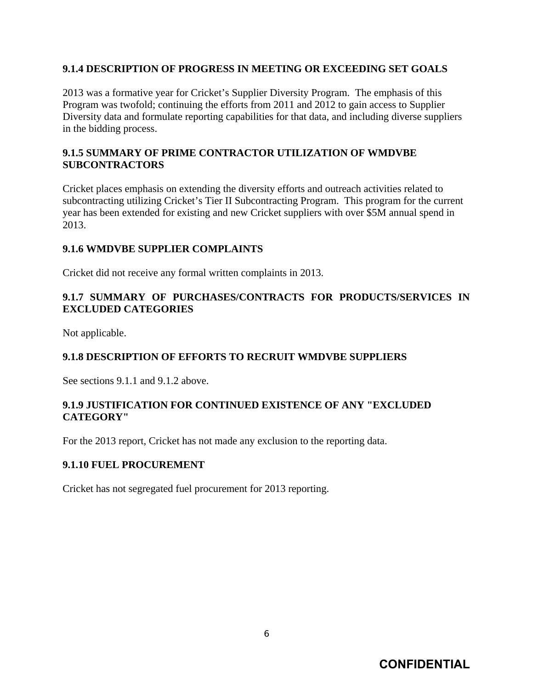#### **9.1.4 DESCRIPTION OF PROGRESS IN MEETING OR EXCEEDING SET GOALS**

2013 was a formative year for Cricket's Supplier Diversity Program. The emphasis of this Program was twofold; continuing the efforts from 2011 and 2012 to gain access to Supplier Diversity data and formulate reporting capabilities for that data, and including diverse suppliers in the bidding process.

#### **9.1.5 SUMMARY OF PRIME CONTRACTOR UTILIZATION OF WMDVBE SUBCONTRACTORS**

Cricket places emphasis on extending the diversity efforts and outreach activities related to subcontracting utilizing Cricket's Tier II Subcontracting Program. This program for the current year has been extended for existing and new Cricket suppliers with over \$5M annual spend in 2013.

#### **9.1.6 WMDVBE SUPPLIER COMPLAINTS**

Cricket did not receive any formal written complaints in 2013.

#### **9.1.7 SUMMARY OF PURCHASES/CONTRACTS FOR PRODUCTS/SERVICES IN EXCLUDED CATEGORIES**

Not applicable.

#### **9.1.8 DESCRIPTION OF EFFORTS TO RECRUIT WMDVBE SUPPLIERS**

See sections 9.1.1 and 9.1.2 above.

#### **9.1.9 JUSTIFICATION FOR CONTINUED EXISTENCE OF ANY "EXCLUDED CATEGORY"**

For the 2013 report, Cricket has not made any exclusion to the reporting data.

#### **9.1.10 FUEL PROCUREMENT**

Cricket has not segregated fuel procurement for 2013 reporting.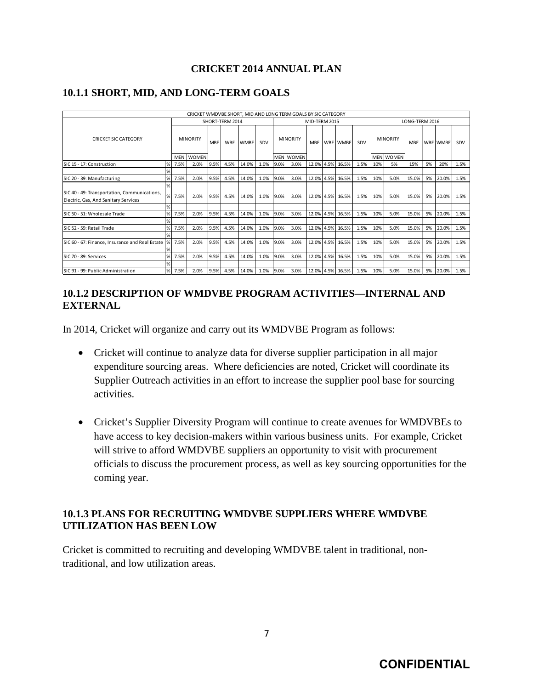#### **CRICKET 2014 ANNUAL PLAN**

|                                                                                      |                 |                 | CRICKET WMDVBE SHORT, MID AND LONG TERM GOALS BY SIC CATEGORY |                          |             |               |                 |      |                  |       |                |                  |      |                 |            |       |                 |       |      |
|--------------------------------------------------------------------------------------|-----------------|-----------------|---------------------------------------------------------------|--------------------------|-------------|---------------|-----------------|------|------------------|-------|----------------|------------------|------|-----------------|------------|-------|-----------------|-------|------|
|                                                                                      | SHORT-TERM 2014 |                 |                                                               |                          |             | MID-TERM 2015 |                 |      |                  |       | LONG-TERM 2016 |                  |      |                 |            |       |                 |       |      |
| <b>CRICKET SIC CATEGORY</b>                                                          |                 | <b>MINORITY</b> |                                                               | <b>WBE</b><br><b>MBE</b> | <b>WMBE</b> | SDV           | <b>MINORITY</b> |      | <b>MBE</b>       |       | WBE WMBE       | SDV              |      | <b>MINORITY</b> | <b>MBF</b> |       | <b>WBE WMBE</b> | SDV   |      |
|                                                                                      |                 |                 | MEN WOMEN                                                     |                          |             |               |                 |      | <b>MEN WOMEN</b> |       |                |                  |      |                 | MEN WOMEN  |       |                 |       |      |
| SIC 15 - 17: Construction                                                            | %               | 7.5%            | 2.0%                                                          | 9.5%                     | 4.5%        | 14.0%         | 1.0%            | 9.0% | 3.0%             | 12.0% | 4.5%           | 16.5%            | 1.5% | 10%             | 5%         | 15%   | 5%              | 20%   | 1.5% |
|                                                                                      | %               |                 |                                                               |                          |             |               |                 |      |                  |       |                |                  |      |                 |            |       |                 |       |      |
| SIC 20 - 39: Manufacturing                                                           | $\%$            | 7.5%            | 2.0%                                                          | 9.5%                     | 4.5%        | 14.0%         | 1.0%            | 9.0% | 3.0%             | 12.0% | 4.5%           | 16.5%            | 1.5% | 10%             | 5.0%       | 15.0% | 5%              | 20.0% | 1.5% |
|                                                                                      | $\%$            |                 |                                                               |                          |             |               |                 |      |                  |       |                |                  |      |                 |            |       |                 |       |      |
| SIC 40 - 49: Transportation, Communications,<br>Electric, Gas, And Sanitary Services | %               | 7.5%            | 2.0%                                                          | 9.5%                     | 4.5%        | 14.0%         | 1.0%            | 9.0% | 3.0%             |       |                | 12.0% 4.5% 16.5% | 1.5% | 10%             | 5.0%       | 15.0% | 5%              | 20.0% | 1.5% |
|                                                                                      | $\%$            |                 |                                                               |                          |             |               |                 |      |                  |       |                |                  |      |                 |            |       |                 |       |      |
| SIC 50 - 51: Wholesale Trade                                                         | %               | 7.5%            | 2.0%                                                          | 9.5%                     | 4.5%        | 14.0%         | 1.0%            | 9.0% | 3.0%             | 12.0% | 4.5%           | 16.5%            | 1.5% | 10%             | 5.0%       | 15.0% | 5%              | 20.0% | 1.5% |
|                                                                                      | %               |                 |                                                               |                          |             |               |                 |      |                  |       |                |                  |      |                 |            |       |                 |       |      |
| SIC 52 - 59: Retail Trade                                                            | $\%$            | 7.5%            | 2.0%                                                          | 9.5%                     | 4.5%        | 14.0%         | 1.0%            | 9.0% | 3.0%             | 12.0% | 4.5%           | 16.5%            | 1.5% | 10%             | 5.0%       | 15.0% | 5%              | 20.0% | 1.5% |
|                                                                                      | %               |                 |                                                               |                          |             |               |                 |      |                  |       |                |                  |      |                 |            |       |                 |       |      |
| SIC 60 - 67: Finance, Insurance and Real Estate   % 7.5%                             |                 |                 | 2.0%                                                          | 9.5%                     | 4.5%        | 14.0%         | 1.0%            | 9.0% | 3.0%             |       |                | 12.0% 4.5% 16.5% | 1.5% | 10%             | 5.0%       | 15.0% | 5%              | 20.0% | 1.5% |
|                                                                                      | %               |                 |                                                               |                          |             |               |                 |      |                  |       |                |                  |      |                 |            |       |                 |       |      |
| SIC 70 - 89: Services                                                                | %               | 7.5%            | 2.0%                                                          | 9.5%                     | 4.5%        | 14.0%         | 1.0%            | 9.0% | 3.0%             | 12.0% | 4.5%           | 16.5%            | 1.5% | 10%             | 5.0%       | 15.0% | 5%              | 20.0% | 1.5% |
|                                                                                      | $\%$            |                 |                                                               |                          |             |               |                 |      |                  |       |                |                  |      |                 |            |       |                 |       |      |
| SIC 91 - 99: Public Administration                                                   | $\%$            | 7.5%            | 2.0%                                                          | 9.5%                     | 4.5%        | 14.0%         | 1.0%            | 9.0% | 3.0%             | 12.0% | 4.5%           | 16.5%            | 1.5% | 10%             | 5.0%       | 15.0% | 5%              | 20.0% | 1.5% |

#### **10.1.1 SHORT, MID, AND LONG-TERM GOALS**

#### **10.1.2 DESCRIPTION OF WMDVBE PROGRAM ACTIVITIES—INTERNAL AND EXTERNAL**

In 2014, Cricket will organize and carry out its WMDVBE Program as follows:

- Cricket will continue to analyze data for diverse supplier participation in all major expenditure sourcing areas. Where deficiencies are noted, Cricket will coordinate its Supplier Outreach activities in an effort to increase the supplier pool base for sourcing activities.
- Cricket's Supplier Diversity Program will continue to create avenues for WMDVBEs to have access to key decision-makers within various business units. For example, Cricket will strive to afford WMDVBE suppliers an opportunity to visit with procurement officials to discuss the procurement process, as well as key sourcing opportunities for the coming year.

#### **10.1.3 PLANS FOR RECRUITING WMDVBE SUPPLIERS WHERE WMDVBE UTILIZATION HAS BEEN LOW**

Cricket is committed to recruiting and developing WMDVBE talent in traditional, nontraditional, and low utilization areas.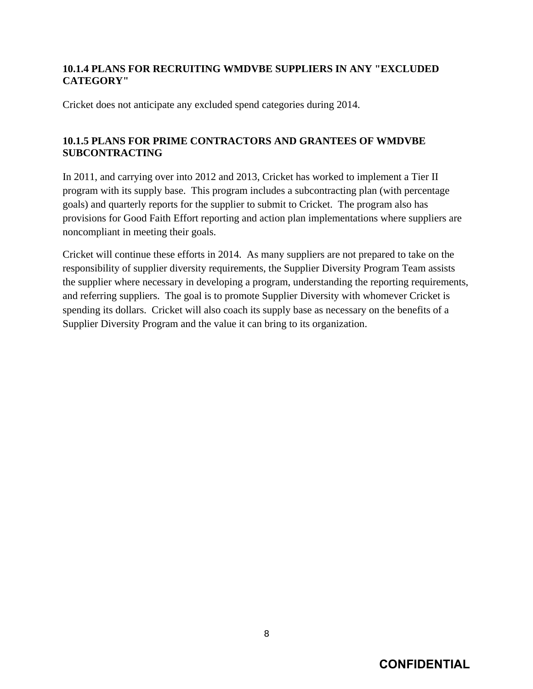#### **10.1.4 PLANS FOR RECRUITING WMDVBE SUPPLIERS IN ANY "EXCLUDED CATEGORY"**

Cricket does not anticipate any excluded spend categories during 2014.

### **10.1.5 PLANS FOR PRIME CONTRACTORS AND GRANTEES OF WMDVBE SUBCONTRACTING**

In 2011, and carrying over into 2012 and 2013, Cricket has worked to implement a Tier II program with its supply base. This program includes a subcontracting plan (with percentage goals) and quarterly reports for the supplier to submit to Cricket. The program also has provisions for Good Faith Effort reporting and action plan implementations where suppliers are noncompliant in meeting their goals.

Cricket will continue these efforts in 2014. As many suppliers are not prepared to take on the responsibility of supplier diversity requirements, the Supplier Diversity Program Team assists the supplier where necessary in developing a program, understanding the reporting requirements, and referring suppliers. The goal is to promote Supplier Diversity with whomever Cricket is spending its dollars. Cricket will also coach its supply base as necessary on the benefits of a Supplier Diversity Program and the value it can bring to its organization.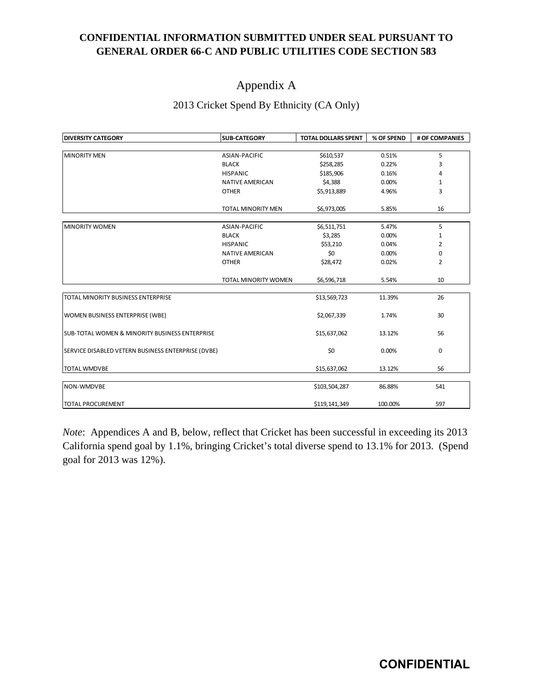## **CONFIDENTIAL INFORMATION SUBMITTED UNDER SEAL PURSUANT TO GENERAL ORDER 66-C AND PUBLIC UTILITIES CODE SECTION 583**

## Appendix A

#### 2013 Cricket Spend By Ethnicity (CA Only)

| <b>DIVERSITY CATEGORY</b>                                  | <b>SUB-CATEGORY</b>    | <b>TOTAL DOLLARS SPENT</b> | % OF SPEND | # OF COMPANIES |
|------------------------------------------------------------|------------------------|----------------------------|------------|----------------|
|                                                            |                        |                            |            |                |
| <b>MINORITY MEN</b>                                        | ASIAN-PACIFIC          | \$610,537                  | 0.51%      | 5              |
|                                                            | <b>BLACK</b>           | \$258,285                  | 0.22%      | 3              |
|                                                            | <b>HISPANIC</b>        | \$185,906                  | 0.16%      | 4              |
|                                                            | <b>NATIVE AMERICAN</b> | \$4,388                    | 0.00%      | 1              |
|                                                            | <b>OTHER</b>           | \$5,913,889                | 4.96%      | 3              |
|                                                            | TOTAL MINORITY MEN     | \$6,973,005                | 5.85%      | 16             |
| <b>MINORITY WOMEN</b>                                      | <b>ASIAN-PACIFIC</b>   | \$6,511,751                | 5.47%      | 5              |
|                                                            | <b>BLACK</b>           | \$3,285                    | 0.00%      | 1              |
|                                                            | <b>HISPANIC</b>        | \$53,210                   | 0.04%      | $\overline{2}$ |
|                                                            | <b>NATIVE AMERICAN</b> | \$0                        | 0.00%      | 0              |
|                                                            | <b>OTHER</b>           | \$28,472                   | 0.02%      | 2              |
|                                                            | TOTAL MINORITY WOMEN   | \$6,596,718                | 5.54%      | 10             |
| TOTAL MINORITY BUSINESS ENTERPRISE                         |                        | \$13,569,723               | 11.39%     | 26             |
| <b>WOMEN BUSINESS ENTERPRISE (WBE)</b>                     |                        | \$2,067,339                | 1.74%      | 30             |
| <b>ISUB-TOTAL WOMEN &amp; MINORITY BUSINESS ENTERPRISE</b> |                        | \$15,637,062               | 13.12%     | 56             |
| SERVICE DISABLED VETERN BUSINESS ENTERPRISE (DVBE)         |                        | \$0                        | 0.00%      | $\mathbf 0$    |
| <b>TOTAL WMDVBE</b>                                        |                        | \$15,637,062               | 13.12%     | 56             |
| NON-WMDVBE                                                 |                        | \$103,504,287              | 86.88%     | 541            |
| <b>TOTAL PROCUREMENT</b>                                   |                        | \$119,141,349              | 100.00%    | 597            |

*Note*: Appendices A and B, below, reflect that Cricket has been successful in exceeding its 2013 California spend goal by 1.1%, bringing Cricket's total diverse spend to 13.1% for 2013. (Spend goal for 2013 was 12%).